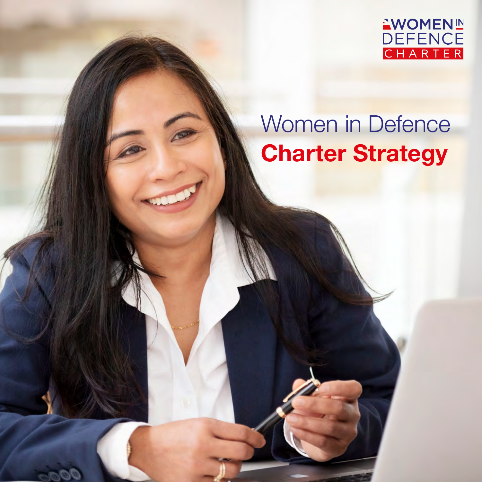

# Women in Defence **Charter Strategy**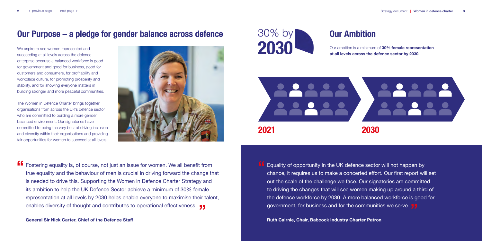## **Our Purpose – a pledge for gender balance across defence**

We aspire to see women represented and succeeding at all levels across the defence enterprise because a balanced workforce is good for government and good for business, good for customers and consumers, for profitability and workplace culture, for promoting prosperity and stability, and for showing everyone matters in building stronger and more peaceful communities.

**ff** Fostering equality is, of course, not just an issue for women. We all benefit from<br>true equality and the behaviour of men is crucial in driving forward the change the enables diversity of thought and contributes to operational effectiveness. <sub>JJ</sub><br>Coneral Sir Nick Carter, Chief of the Defence Staff true equality and the behaviour of men is crucial in driving forward the change that is needed to drive this. Supporting the Women in Defence Charter Strategy and its ambition to help the UK Defence Sector achieve a minimum of 30% female representation at all levels by 2030 helps enable everyone to maximise their talent,

**General Sir Nick Carter, Chief of the Defence Staff Ruth Cairnie, Chair, Babcock Industry Charter Patron** 



The Women in Defence Charter brings together organisations from across the UK's defence sector who are committed to building a more gender balanced environment. Our signatories have committed to being the very best at driving inclusion and diversity within their organisations and providing fair opportunities for women to succeed at all levels.



**Our Ambition**

Our ambition is a minimum of **30% female representation at all levels across the defence sector by 2030.**

**"** government, for business and for the communities we serve. Equality of opportunity in the UK defence sector will not happen by chance, it requires us to make a concerted effort. Our first report will set out the scale of the challenge we face. Our signatories are committed to driving the changes that will see women making up around a third of the defence workforce by 2030. A more balanced workforce is good for

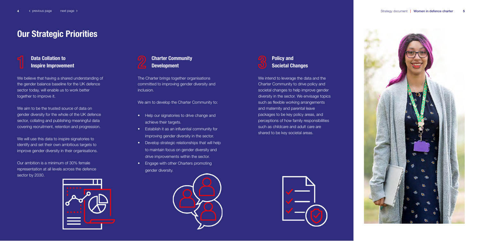## **Our Strategic Priorities**





The Charter brings together organisations committed to improving gender diversity and inclusion.

We aim to develop the Charter Community to:

- Help our signatories to drive change and achieve their targets.
- Establish it as an influential community for improving gender diversity in the sector.
- Develop strategic relationships that will help to maintain focus on gender diversity and drive improvements within the sector.
- Engage with other Charters promoting gender diversity.



We aim to be the trusted source of data on gender diversity for the whole of the UK defence sector, collating and publishing meaningful data covering recruitment, retention and progression.

Our ambition is a minimum of 30% female representation at all levels across the defence sector by 2030.



### **Data Collation to Inspire Improvement**

We believe that having a shared understanding of the gender balance baseline for the UK defence sector today, will enable us to work better together to improve it.

We will use this data to inspire signatories to identify and set their own ambitious targets to improve gender diversity in their organisations. **Policy and Societal Changes**

We intend to leverage the data and the Charter Community to drive policy and societal changes to help improve gender diversity in the sector. We envisage topics such as flexible working arrangements and maternity and parental leave packages to be key policy areas, and perceptions of how family responsibilities such as childcare and adult care are shared to be key societal areas.



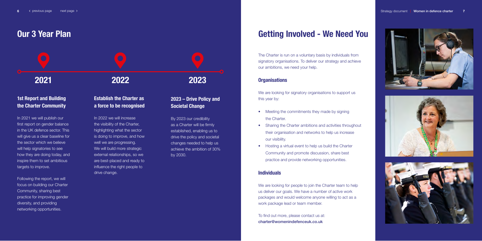## **Getting Involved - We Need You**

The Charter is run on a voluntary basis by individuals from signatory organisations. To deliver our strategy and achieve our ambitions, we need your help.

We are looking for signatory organisations to support us this year by:

#### **Organisations**

- Meeting the commitments they made by signing the Charter.
- Sharing the Charter ambitions and activities throughout their organisation and networks to help us increase our visibility.
- Hosting a virtual event to help us build the Charter Community and promote discussion, share best practice and provide networking opportunities.

We are looking for people to join the Charter team to help us deliver our goals. We have a number of active work packages and would welcome anyone willing to act as a work package lead or team member.

#### **Individuals**

To find out more, please contact us at: [charter@womenindefenceuk.co](mailto:charter%40womenindefenceuk.co.uk?subject=).uk







## **Our 3 Year Plan**

### **1st Report and Building the Charter Community**

In 2021 we will publish our first report on gender balance in the UK defence sector. This will give us a clear baseline for the sector which we believe will help signatories to see how they are doing today, and inspire them to set ambitious targets to improve.

Following the report, we will focus on building our Charter Community, sharing best practice for improving gender diversity, and providing networking opportunities.

## **2021 2022 2023**

### **Establish the Charter as a force to be recognised**

In 2022 we will increase the visibility of the Charter, highlighting what the sector is doing to improve, and how well we are progressing. We will build more strategic external relationships, so we are best-placed and ready to influence the right people to drive change.

### **2023 – Drive Policy and Societal Change**

By 2023 our credibility as a Charter will be firmly established, enabling us to drive the policy and societal changes needed to help us achieve the ambition of 30% by 2030.